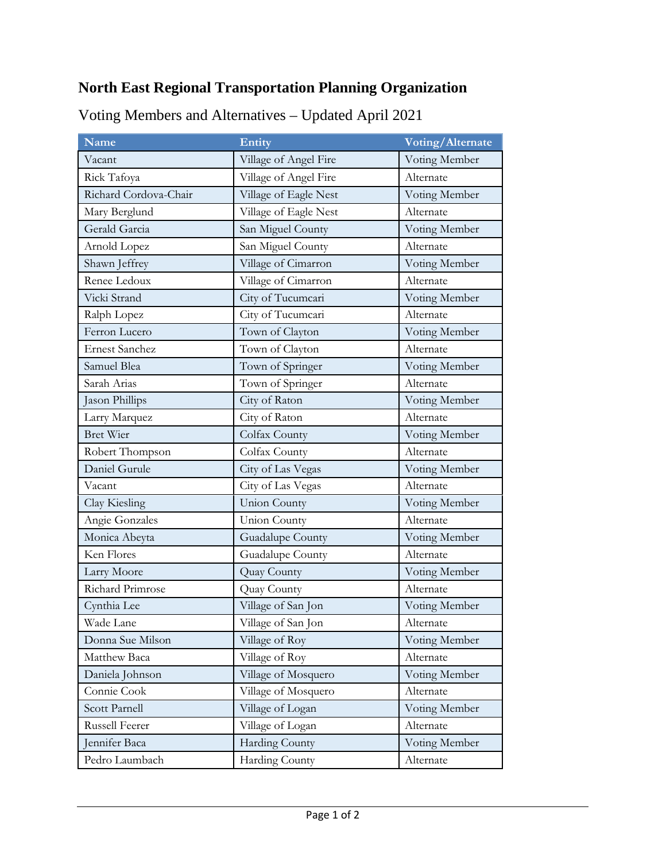## **North East Regional Transportation Planning Organization**

| Name                  | Entity                | Voting/Alternate |
|-----------------------|-----------------------|------------------|
| Vacant                | Village of Angel Fire | Voting Member    |
| Rick Tafoya           | Village of Angel Fire | Alternate        |
| Richard Cordova-Chair | Village of Eagle Nest | Voting Member    |
| Mary Berglund         | Village of Eagle Nest | Alternate        |
| Gerald Garcia         | San Miguel County     | Voting Member    |
| Arnold Lopez          | San Miguel County     | Alternate        |
| Shawn Jeffrey         | Village of Cimarron   | Voting Member    |
| Renee Ledoux          | Village of Cimarron   | Alternate        |
| Vicki Strand          | City of Tucumcari     | Voting Member    |
| Ralph Lopez           | City of Tucumcari     | Alternate        |
| Ferron Lucero         | Town of Clayton       | Voting Member    |
| <b>Ernest Sanchez</b> | Town of Clayton       | Alternate        |
| Samuel Blea           | Town of Springer      | Voting Member    |
| Sarah Arias           | Town of Springer      | Alternate        |
| Jason Phillips        | City of Raton         | Voting Member    |
| Larry Marquez         | City of Raton         | Alternate        |
| <b>Bret Wier</b>      | Colfax County         | Voting Member    |
| Robert Thompson       | Colfax County         | Alternate        |
| Daniel Gurule         | City of Las Vegas     | Voting Member    |
| Vacant                | City of Las Vegas     | Alternate        |
| Clay Kiesling         | <b>Union County</b>   | Voting Member    |
| Angie Gonzales        | <b>Union County</b>   | Alternate        |
| Monica Abeyta         | Guadalupe County      | Voting Member    |
| Ken Flores            | Guadalupe County      | Alternate        |
| Larry Moore           | Quay County           | Voting Member    |
| Richard Primrose      | Quay County           | Alternate        |
| Cynthia Lee           | Village of San Jon    | Voting Member    |
| Wade Lane             | Village of San Jon    | Alternate        |
| Donna Sue Milson      | Village of Roy        | Voting Member    |
| Matthew Baca          | Village of Roy        | Alternate        |
| Daniela Johnson       | Village of Mosquero   | Voting Member    |
| Connie Cook           | Village of Mosquero   | Alternate        |
| Scott Parnell         | Village of Logan      | Voting Member    |
| Russell Feerer        | Village of Logan      | Alternate        |
| Jennifer Baca         | Harding County        | Voting Member    |
| Pedro Laumbach        | Harding County        | Alternate        |

Voting Members and Alternatives – Updated April 2021